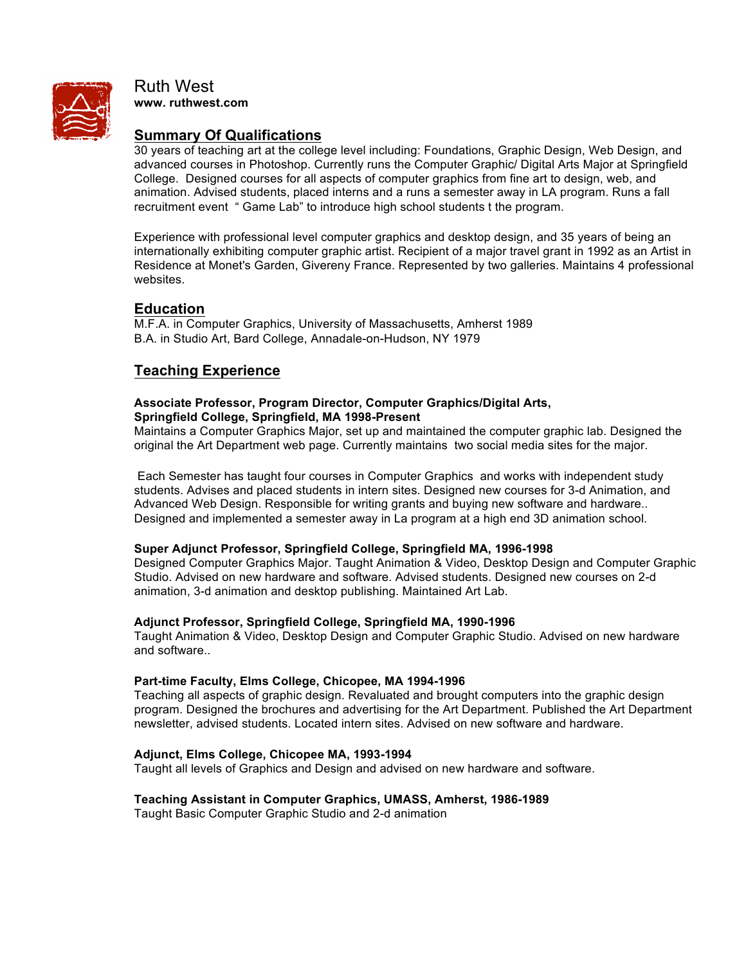

Ruth West **www. ruthwest.com**

# **Summary Of Qualifications**

30 years of teaching art at the college level including: Foundations, Graphic Design, Web Design, and advanced courses in Photoshop. Currently runs the Computer Graphic/ Digital Arts Major at Springfield College. Designed courses for all aspects of computer graphics from fine art to design, web, and animation. Advised students, placed interns and a runs a semester away in LA program. Runs a fall recruitment event " Game Lab" to introduce high school students t the program.

Experience with professional level computer graphics and desktop design, and 35 years of being an internationally exhibiting computer graphic artist. Recipient of a major travel grant in 1992 as an Artist in Residence at Monet's Garden, Givereny France. Represented by two galleries. Maintains 4 professional websites.

# **Education**

M.F.A. in Computer Graphics, University of Massachusetts, Amherst 1989 B.A. in Studio Art, Bard College, Annadale-on-Hudson, NY 1979

# **Teaching Experience**

### **Associate Professor, Program Director, Computer Graphics/Digital Arts, Springfield College, Springfield, MA 1998-Present**

Maintains a Computer Graphics Major, set up and maintained the computer graphic lab. Designed the original the Art Department web page. Currently maintains two social media sites for the major.

Each Semester has taught four courses in Computer Graphics and works with independent study students. Advises and placed students in intern sites. Designed new courses for 3-d Animation, and Advanced Web Design. Responsible for writing grants and buying new software and hardware.. Designed and implemented a semester away in La program at a high end 3D animation school.

## **Super Adjunct Professor, Springfield College, Springfield MA, 1996-1998**

Designed Computer Graphics Major. Taught Animation & Video, Desktop Design and Computer Graphic Studio. Advised on new hardware and software. Advised students. Designed new courses on 2-d animation, 3-d animation and desktop publishing. Maintained Art Lab.

## **Adjunct Professor, Springfield College, Springfield MA, 1990-1996**

Taught Animation & Video, Desktop Design and Computer Graphic Studio. Advised on new hardware and software..

## **Part-time Faculty, Elms College, Chicopee, MA 1994-1996**

Teaching all aspects of graphic design. Revaluated and brought computers into the graphic design program. Designed the brochures and advertising for the Art Department. Published the Art Department newsletter, advised students. Located intern sites. Advised on new software and hardware.

## **Adjunct, Elms College, Chicopee MA, 1993-1994**

Taught all levels of Graphics and Design and advised on new hardware and software.

### **Teaching Assistant in Computer Graphics, UMASS, Amherst, 1986-1989**

Taught Basic Computer Graphic Studio and 2-d animation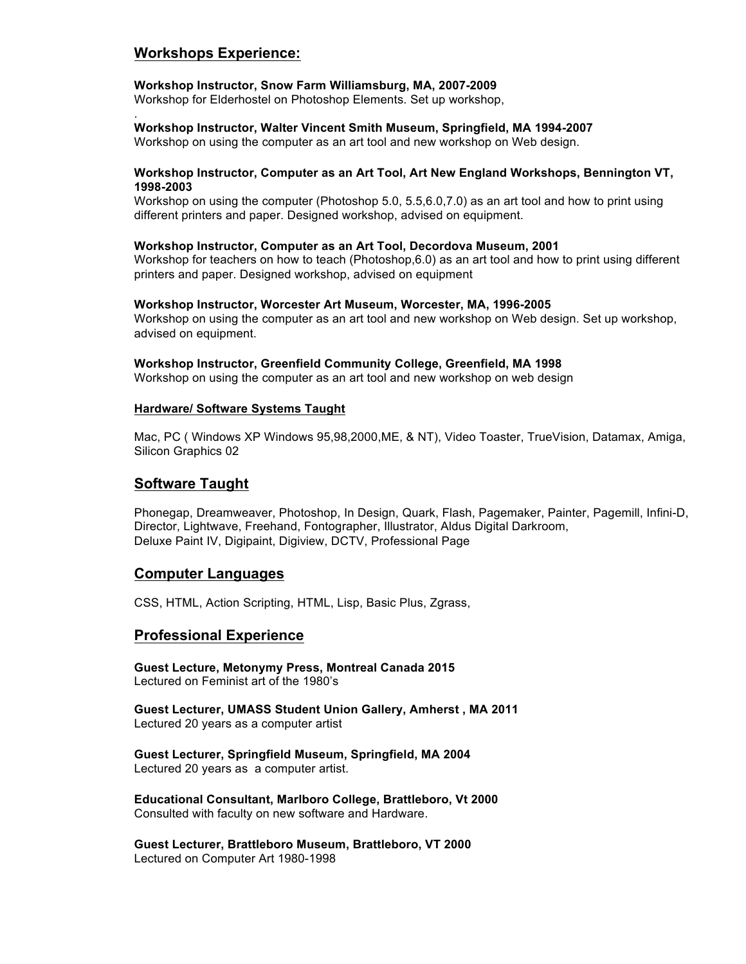# **Workshops Experience:**

.

## **Workshop Instructor, Snow Farm Williamsburg, MA, 2007-2009**

Workshop for Elderhostel on Photoshop Elements. Set up workshop,

### **Workshop Instructor, Walter Vincent Smith Museum, Springfield, MA 1994-2007**

Workshop on using the computer as an art tool and new workshop on Web design.

### **Workshop Instructor, Computer as an Art Tool, Art New England Workshops, Bennington VT, 1998-2003**

Workshop on using the computer (Photoshop 5.0, 5.5,6.0,7.0) as an art tool and how to print using different printers and paper. Designed workshop, advised on equipment.

#### **Workshop Instructor, Computer as an Art Tool, Decordova Museum, 2001**

Workshop for teachers on how to teach (Photoshop,6.0) as an art tool and how to print using different printers and paper. Designed workshop, advised on equipment

#### **Workshop Instructor, Worcester Art Museum, Worcester, MA, 1996-2005**

Workshop on using the computer as an art tool and new workshop on Web design. Set up workshop, advised on equipment.

#### **Workshop Instructor, Greenfield Community College, Greenfield, MA 1998**

Workshop on using the computer as an art tool and new workshop on web design

#### **Hardware/ Software Systems Taught**

Mac, PC ( Windows XP Windows 95,98,2000,ME, & NT), Video Toaster, TrueVision, Datamax, Amiga, Silicon Graphics 02

## **Software Taught**

Phonegap, Dreamweaver, Photoshop, In Design, Quark, Flash, Pagemaker, Painter, Pagemill, Infini-D, Director, Lightwave, Freehand, Fontographer, Illustrator, Aldus Digital Darkroom, Deluxe Paint IV, Digipaint, Digiview, DCTV, Professional Page

### **Computer Languages**

CSS, HTML, Action Scripting, HTML, Lisp, Basic Plus, Zgrass,

## **Professional Experience**

**Guest Lecture, Metonymy Press, Montreal Canada 2015** Lectured on Feminist art of the 1980's

**Guest Lecturer, UMASS Student Union Gallery, Amherst , MA 2011** Lectured 20 years as a computer artist

**Guest Lecturer, Springfield Museum, Springfield, MA 2004** Lectured 20 years as a computer artist.

**Educational Consultant, Marlboro College, Brattleboro, Vt 2000** Consulted with faculty on new software and Hardware.

**Guest Lecturer, Brattleboro Museum, Brattleboro, VT 2000** Lectured on Computer Art 1980-1998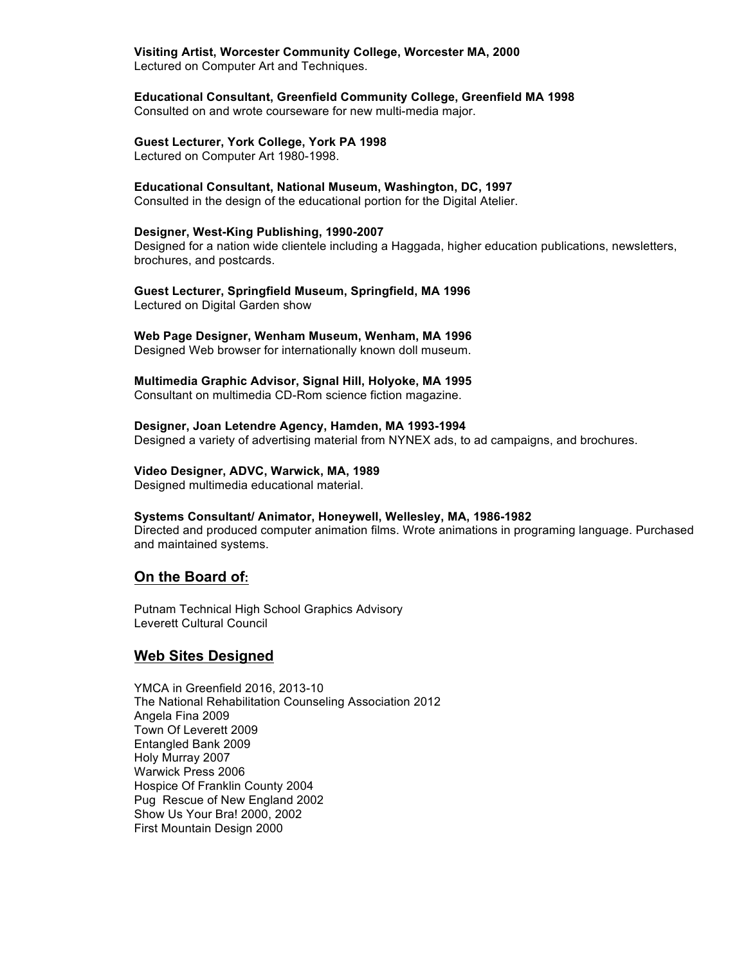### **Visiting Artist, Worcester Community College, Worcester MA, 2000**

Lectured on Computer Art and Techniques.

## **Educational Consultant, Greenfield Community College, Greenfield MA 1998**

Consulted on and wrote courseware for new multi-media major.

## **Guest Lecturer, York College, York PA 1998**

Lectured on Computer Art 1980-1998.

### **Educational Consultant, National Museum, Washington, DC, 1997**

Consulted in the design of the educational portion for the Digital Atelier.

#### **Designer, West-King Publishing, 1990-2007**

Designed for a nation wide clientele including a Haggada, higher education publications, newsletters, brochures, and postcards.

# **Guest Lecturer, Springfield Museum, Springfield, MA 1996**

Lectured on Digital Garden show

### **Web Page Designer, Wenham Museum, Wenham, MA 1996**

Designed Web browser for internationally known doll museum.

### **Multimedia Graphic Advisor, Signal Hill, Holyoke, MA 1995**

Consultant on multimedia CD-Rom science fiction magazine.

#### **Designer, Joan Letendre Agency, Hamden, MA 1993-1994**

Designed a variety of advertising material from NYNEX ads, to ad campaigns, and brochures.

#### **Video Designer, ADVC, Warwick, MA, 1989**

Designed multimedia educational material.

#### **Systems Consultant/ Animator, Honeywell, Wellesley, MA, 1986-1982**

Directed and produced computer animation films. Wrote animations in programing language. Purchased and maintained systems.

## **On the Board of:**

Putnam Technical High School Graphics Advisory Leverett Cultural Council

## **Web Sites Designed**

YMCA in Greenfield 2016, 2013-10 The National Rehabilitation Counseling Association 2012 Angela Fina 2009 Town Of Leverett 2009 Entangled Bank 2009 Holy Murray 2007 Warwick Press 2006 Hospice Of Franklin County 2004 Pug Rescue of New England 2002 Show Us Your Bra! 2000, 2002 First Mountain Design 2000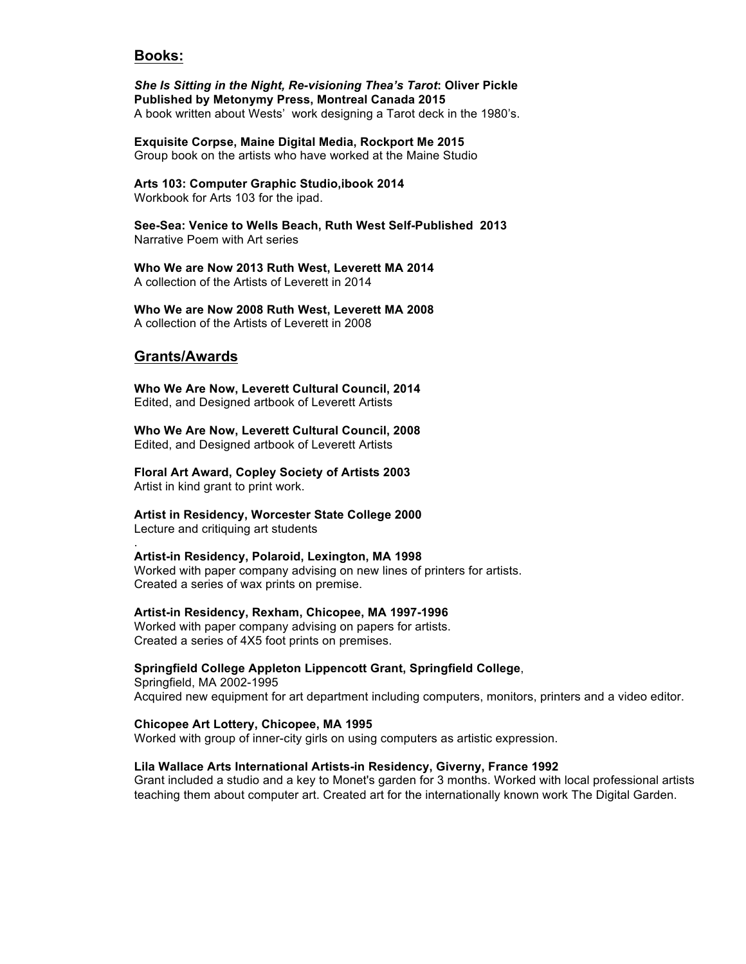## **Books:**

*She Is Sitting in the Night, Re-visioning Thea's Tarot***: Oliver Pickle Published by Metonymy Press, Montreal Canada 2015** A book written about Wests' work designing a Tarot deck in the 1980's.

**Exquisite Corpse, Maine Digital Media, Rockport Me 2015** Group book on the artists who have worked at the Maine Studio

**Arts 103: Computer Graphic Studio,ibook 2014** Workbook for Arts 103 for the ipad.

**See-Sea: Venice to Wells Beach, Ruth West Self-Published 2013** Narrative Poem with Art series

**Who We are Now 2013 Ruth West, Leverett MA 2014** A collection of the Artists of Leverett in 2014

**Who We are Now 2008 Ruth West, Leverett MA 2008** A collection of the Artists of Leverett in 2008

## **Grants/Awards**

.

**Who We Are Now, Leverett Cultural Council, 2014** Edited, and Designed artbook of Leverett Artists

**Who We Are Now, Leverett Cultural Council, 2008** Edited, and Designed artbook of Leverett Artists

**Floral Art Award, Copley Society of Artists 2003** Artist in kind grant to print work.

**Artist in Residency, Worcester State College 2000** Lecture and critiquing art students

#### **Artist-in Residency, Polaroid, Lexington, MA 1998**

Worked with paper company advising on new lines of printers for artists. Created a series of wax prints on premise.

#### **Artist-in Residency, Rexham, Chicopee, MA 1997-1996**

Worked with paper company advising on papers for artists. Created a series of 4X5 foot prints on premises.

### **Springfield College Appleton Lippencott Grant, Springfield College**,

Springfield, MA 2002-1995 Acquired new equipment for art department including computers, monitors, printers and a video editor.

#### **Chicopee Art Lottery, Chicopee, MA 1995**

Worked with group of inner-city girls on using computers as artistic expression.

#### **Lila Wallace Arts International Artists-in Residency, Giverny, France 1992**

Grant included a studio and a key to Monet's garden for 3 months. Worked with local professional artists teaching them about computer art. Created art for the internationally known work The Digital Garden.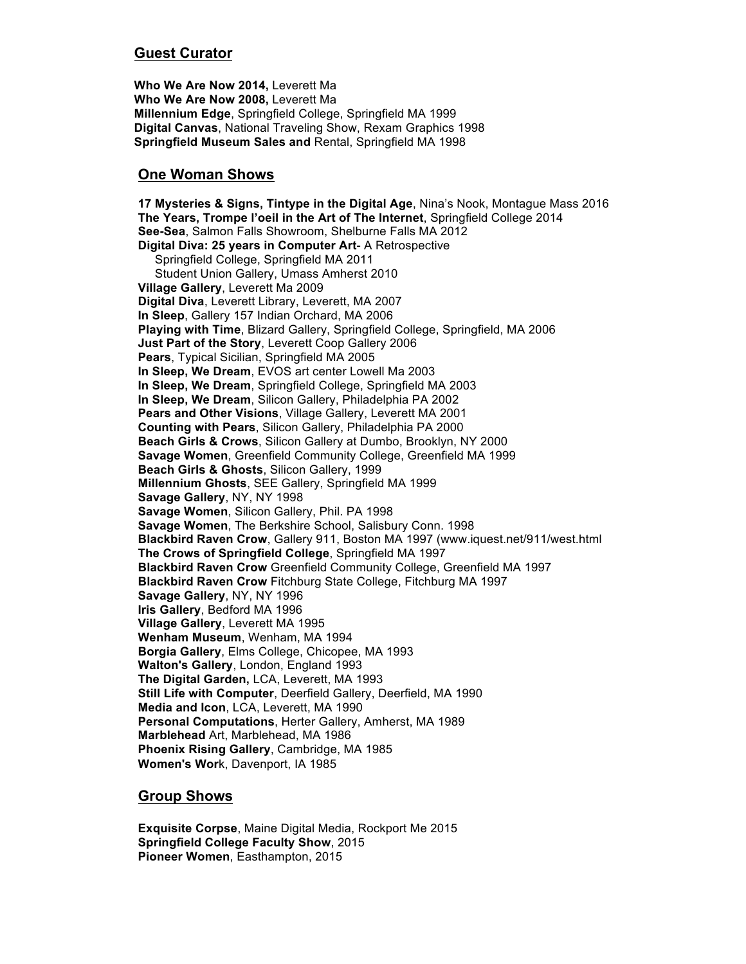# **Guest Curator**

**Who We Are Now 2014,** Leverett Ma **Who We Are Now 2008,** Leverett Ma **Millennium Edge**, Springfield College, Springfield MA 1999 **Digital Canvas**, National Traveling Show, Rexam Graphics 1998 **Springfield Museum Sales and** Rental, Springfield MA 1998

# **One Woman Shows**

**17 Mysteries & Signs, Tintype in the Digital Age**, Nina's Nook, Montague Mass 2016 **The Years, Trompe l'oeil in the Art of The Internet**, Springfield College 2014 **See-Sea**, Salmon Falls Showroom, Shelburne Falls MA 2012 **Digital Diva: 25 years in Computer Art**- A Retrospective Springfield College, Springfield MA 2011 Student Union Gallery, Umass Amherst 2010 **Village Gallery**, Leverett Ma 2009 **Digital Diva**, Leverett Library, Leverett, MA 2007 **In Sleep**, Gallery 157 Indian Orchard, MA 2006 **Playing with Time**, Blizard Gallery, Springfield College, Springfield, MA 2006 **Just Part of the Story**, Leverett Coop Gallery 2006 **Pears**, Typical Sicilian, Springfield MA 2005 **In Sleep, We Dream**, EVOS art center Lowell Ma 2003 **In Sleep, We Dream**, Springfield College, Springfield MA 2003 **In Sleep, We Dream**, Silicon Gallery, Philadelphia PA 2002 **Pears and Other Visions**, Village Gallery, Leverett MA 2001 **Counting with Pears**, Silicon Gallery, Philadelphia PA 2000 **Beach Girls & Crows**, Silicon Gallery at Dumbo, Brooklyn, NY 2000 **Savage Women**, Greenfield Community College, Greenfield MA 1999 **Beach Girls & Ghosts**, Silicon Gallery, 1999 **Millennium Ghosts**, SEE Gallery, Springfield MA 1999 **Savage Gallery**, NY, NY 1998 **Savage Women**, Silicon Gallery, Phil. PA 1998 **Savage Women**, The Berkshire School, Salisbury Conn. 1998 **Blackbird Raven Crow**, Gallery 911, Boston MA 1997 (www.iquest.net/911/west.html **The Crows of Springfield College**, Springfield MA 1997 **Blackbird Raven Crow** Greenfield Community College, Greenfield MA 1997 **Blackbird Raven Crow** Fitchburg State College, Fitchburg MA 1997 **Savage Gallery**, NY, NY 1996 **Iris Gallery**, Bedford MA 1996 **Village Gallery**, Leverett MA 1995 **Wenham Museum**, Wenham, MA 1994 **Borgia Gallery**, Elms College, Chicopee, MA 1993 **Walton's Gallery**, London, England 1993 **The Digital Garden,** LCA, Leverett, MA 1993 **Still Life with Computer**, Deerfield Gallery, Deerfield, MA 1990 **Media and Icon**, LCA, Leverett, MA 1990 **Personal Computations**, Herter Gallery, Amherst, MA 1989 **Marblehead** Art, Marblehead, MA 1986 **Phoenix Rising Gallery**, Cambridge, MA 1985 **Women's Wor**k, Davenport, IA 1985

# **Group Shows**

**Exquisite Corpse**, Maine Digital Media, Rockport Me 2015 **Springfield College Faculty Show**, 2015 **Pioneer Women**, Easthampton, 2015